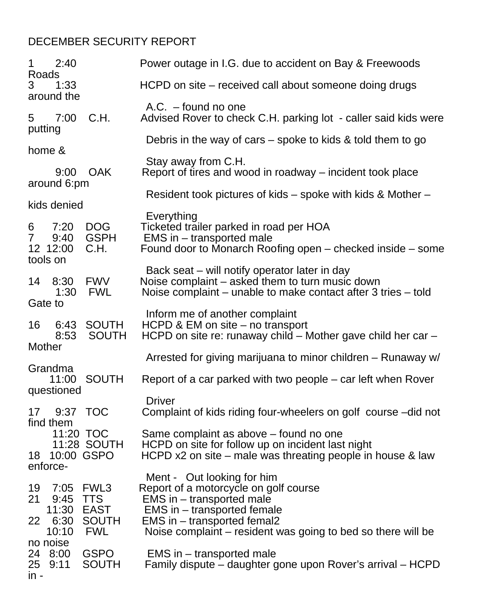## DECEMBER SECURITY REPORT

| 1                   | 2:40                                                |                                         | Power outage in I.G. due to accident on Bay & Freewoods                                                                                                                                                                        |
|---------------------|-----------------------------------------------------|-----------------------------------------|--------------------------------------------------------------------------------------------------------------------------------------------------------------------------------------------------------------------------------|
| Roads<br>3          | 1:33<br>around the                                  |                                         | HCPD on site – received call about someone doing drugs                                                                                                                                                                         |
| 5<br>putting        | 7:00                                                | C.H.                                    | $A.C.$ – found no one<br>Advised Rover to check C.H. parking lot - caller said kids were                                                                                                                                       |
| home &              |                                                     |                                         | Debris in the way of cars $-$ spoke to kids & told them to go                                                                                                                                                                  |
|                     | 9:00                                                | <b>OAK</b>                              | Stay away from C.H.<br>Report of tires and wood in roadway – incident took place                                                                                                                                               |
|                     | around 6:pm                                         |                                         | Resident took pictures of kids – spoke with kids & Mother –                                                                                                                                                                    |
| 6<br>$\overline{7}$ | kids denied<br>7:20<br>9:40<br>12 12:00<br>tools on | <b>DOG</b><br><b>GSPH</b><br>C.H.       | Everything<br>Ticketed trailer parked in road per HOA<br>EMS in – transported male<br>Found door to Monarch Roofing open – checked inside – some                                                                               |
| 14<br>Gate to       | 8:30<br>1:30                                        | <b>FWV</b><br><b>FWL</b>                | Back seat – will notify operator later in day<br>Noise complaint – asked them to turn music down<br>Noise complaint – unable to make contact after 3 tries – told                                                              |
| 16<br>Mother        | 6:43<br>8:53                                        | <b>SOUTH</b><br><b>SOUTH</b>            | Inform me of another complaint<br>HCPD & EM on site – no transport<br>HCPD on site re: runaway child – Mother gave child her car –                                                                                             |
|                     | Grandma<br>11:00<br>questioned                      | <b>SOUTH</b>                            | Arrested for giving marijuana to minor children – Runaway w/<br>Report of a car parked with two people – car left when Rover                                                                                                   |
| 17                  | find them                                           | 9:37 TOC                                | <b>Driver</b><br>Complaint of kids riding four-wheelers on golf course -did not                                                                                                                                                |
|                     | 18 10:00 GSPO<br>enforce-                           | 11:20 TOC<br>11:28 SOUTH                | Same complaint as above – found no one<br>HCPD on site for follow up on incident last night<br>HCPD $x2$ on site – male was threating people in house & law                                                                    |
| 19<br>21<br>22      | 9:45 TTS<br>11:30 EAST<br>6:30<br>10:10             | 7:05 FWL3<br><b>SOUTH</b><br><b>FWL</b> | Ment - Out looking for him<br>Report of a motorcycle on golf course<br>EMS in – transported male<br>EMS in - transported female<br>EMS in – transported femal2<br>Noise complaint – resident was going to bed so there will be |
| $in -$              | no noise<br>24 8:00<br>25 9:11                      | <b>GSPO</b><br><b>SOUTH</b>             | EMS in – transported male<br>Family dispute – daughter gone upon Rover's arrival – HCPD                                                                                                                                        |